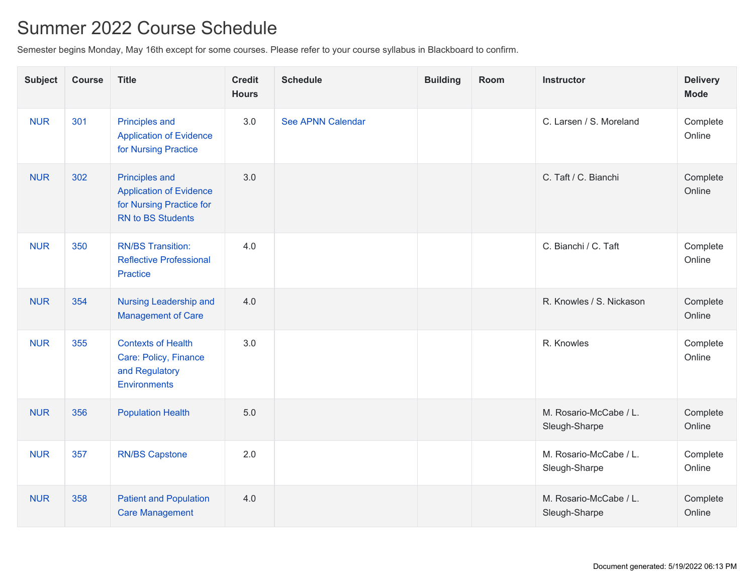## Summer 2022 Course Schedule

Semester begins Monday, May 16th except for some courses. Please refer to your course syllabus in Blackboard to confirm.

| <b>Subject</b> | <b>Course</b> | <b>Title</b>                                                                                                    | <b>Credit</b><br><b>Hours</b> | <b>Schedule</b>          | <b>Building</b> | Room | <b>Instructor</b>                       | <b>Delivery</b><br><b>Mode</b> |
|----------------|---------------|-----------------------------------------------------------------------------------------------------------------|-------------------------------|--------------------------|-----------------|------|-----------------------------------------|--------------------------------|
| <b>NUR</b>     | 301           | <b>Principles and</b><br><b>Application of Evidence</b><br>for Nursing Practice                                 | 3.0                           | <b>See APNN Calendar</b> |                 |      | C. Larsen / S. Moreland                 | Complete<br>Online             |
| <b>NUR</b>     | 302           | <b>Principles and</b><br><b>Application of Evidence</b><br>for Nursing Practice for<br><b>RN to BS Students</b> | 3.0                           |                          |                 |      | C. Taft / C. Bianchi                    | Complete<br>Online             |
| <b>NUR</b>     | 350           | <b>RN/BS Transition:</b><br><b>Reflective Professional</b><br><b>Practice</b>                                   | 4.0                           |                          |                 |      | C. Bianchi / C. Taft                    | Complete<br>Online             |
| <b>NUR</b>     | 354           | Nursing Leadership and<br><b>Management of Care</b>                                                             | 4.0                           |                          |                 |      | R. Knowles / S. Nickason                | Complete<br>Online             |
| <b>NUR</b>     | 355           | <b>Contexts of Health</b><br>Care: Policy, Finance<br>and Regulatory<br><b>Environments</b>                     | 3.0                           |                          |                 |      | R. Knowles                              | Complete<br>Online             |
| <b>NUR</b>     | 356           | <b>Population Health</b>                                                                                        | 5.0                           |                          |                 |      | M. Rosario-McCabe / L.<br>Sleugh-Sharpe | Complete<br>Online             |
| <b>NUR</b>     | 357           | <b>RN/BS Capstone</b>                                                                                           | 2.0                           |                          |                 |      | M. Rosario-McCabe / L.<br>Sleugh-Sharpe | Complete<br>Online             |
| <b>NUR</b>     | 358           | <b>Patient and Population</b><br><b>Care Management</b>                                                         | 4.0                           |                          |                 |      | M. Rosario-McCabe / L.<br>Sleugh-Sharpe | Complete<br>Online             |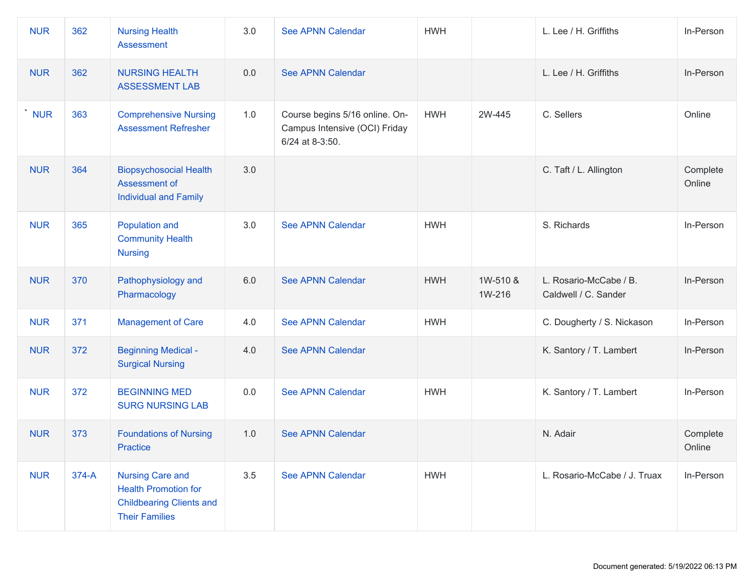| <b>NUR</b> | 362   | <b>Nursing Health</b><br><b>Assessment</b>                                                                         | 3.0 | See APNN Calendar                                                                  | <b>HWH</b> |                    | L. Lee / H. Griffiths                          | In-Person          |
|------------|-------|--------------------------------------------------------------------------------------------------------------------|-----|------------------------------------------------------------------------------------|------------|--------------------|------------------------------------------------|--------------------|
| <b>NUR</b> | 362   | <b>NURSING HEALTH</b><br><b>ASSESSMENT LAB</b>                                                                     | 0.0 | See APNN Calendar                                                                  |            |                    | L. Lee / H. Griffiths                          | In-Person          |
| <b>NUR</b> | 363   | <b>Comprehensive Nursing</b><br><b>Assessment Refresher</b>                                                        | 1.0 | Course begins 5/16 online. On-<br>Campus Intensive (OCI) Friday<br>6/24 at 8-3:50. | <b>HWH</b> | 2W-445             | C. Sellers                                     | Online             |
| <b>NUR</b> | 364   | <b>Biopsychosocial Health</b><br>Assessment of<br><b>Individual and Family</b>                                     | 3.0 |                                                                                    |            |                    | C. Taft / L. Allington                         | Complete<br>Online |
| <b>NUR</b> | 365   | Population and<br><b>Community Health</b><br><b>Nursing</b>                                                        | 3.0 | See APNN Calendar                                                                  | <b>HWH</b> |                    | S. Richards                                    | In-Person          |
| <b>NUR</b> | 370   | Pathophysiology and<br>Pharmacology                                                                                | 6.0 | See APNN Calendar                                                                  | <b>HWH</b> | 1W-510 &<br>1W-216 | L. Rosario-McCabe / B.<br>Caldwell / C. Sander | In-Person          |
| <b>NUR</b> | 371   | <b>Management of Care</b>                                                                                          | 4.0 | See APNN Calendar                                                                  | <b>HWH</b> |                    | C. Dougherty / S. Nickason                     | In-Person          |
| <b>NUR</b> | 372   | <b>Beginning Medical -</b><br><b>Surgical Nursing</b>                                                              | 4.0 | See APNN Calendar                                                                  |            |                    | K. Santory / T. Lambert                        | In-Person          |
| <b>NUR</b> | 372   | <b>BEGINNING MED</b><br><b>SURG NURSING LAB</b>                                                                    | 0.0 | <b>See APNN Calendar</b>                                                           | <b>HWH</b> |                    | K. Santory / T. Lambert                        | In-Person          |
| <b>NUR</b> | 373   | <b>Foundations of Nursing</b><br>Practice                                                                          | 1.0 | See APNN Calendar                                                                  |            |                    | N. Adair                                       | Complete<br>Online |
| <b>NUR</b> | 374-A | <b>Nursing Care and</b><br><b>Health Promotion for</b><br><b>Childbearing Clients and</b><br><b>Their Families</b> | 3.5 | See APNN Calendar                                                                  | <b>HWH</b> |                    | L. Rosario-McCabe / J. Truax                   | In-Person          |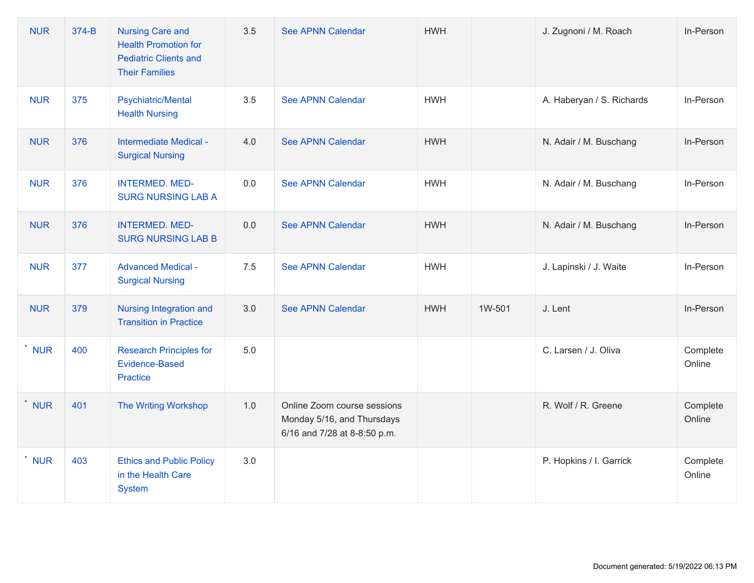| <b>NUR</b> | 374-B | <b>Nursing Care and</b><br><b>Health Promotion for</b><br><b>Pediatric Clients and</b><br><b>Their Families</b> | 3.5 | See APNN Calendar                                                                         | <b>HWH</b> |        | J. Zugnoni / M. Roach     | In-Person          |
|------------|-------|-----------------------------------------------------------------------------------------------------------------|-----|-------------------------------------------------------------------------------------------|------------|--------|---------------------------|--------------------|
| <b>NUR</b> | 375   | <b>Psychiatric/Mental</b><br><b>Health Nursing</b>                                                              | 3.5 | <b>See APNN Calendar</b>                                                                  | <b>HWH</b> |        | A. Haberyan / S. Richards | In-Person          |
| <b>NUR</b> | 376   | Intermediate Medical -<br><b>Surgical Nursing</b>                                                               | 4.0 | See APNN Calendar                                                                         | <b>HWH</b> |        | N. Adair / M. Buschang    | In-Person          |
| <b>NUR</b> | 376   | <b>INTERMED. MED-</b><br><b>SURG NURSING LAB A</b>                                                              | 0.0 | See APNN Calendar                                                                         | <b>HWH</b> |        | N. Adair / M. Buschang    | In-Person          |
| <b>NUR</b> | 376   | <b>INTERMED. MED-</b><br><b>SURG NURSING LAB B</b>                                                              | 0.0 | <b>See APNN Calendar</b>                                                                  | <b>HWH</b> |        | N. Adair / M. Buschang    | In-Person          |
| <b>NUR</b> | 377   | <b>Advanced Medical -</b><br><b>Surgical Nursing</b>                                                            | 7.5 | <b>See APNN Calendar</b>                                                                  | <b>HWH</b> |        | J. Lapinski / J. Waite    | In-Person          |
| <b>NUR</b> | 379   | Nursing Integration and<br><b>Transition in Practice</b>                                                        | 3.0 | <b>See APNN Calendar</b>                                                                  | <b>HWH</b> | 1W-501 | J. Lent                   | In-Person          |
| $^*$ NUR   | 400   | <b>Research Principles for</b><br>Evidence-Based<br>Practice                                                    | 5.0 |                                                                                           |            |        | C. Larsen / J. Oliva      | Complete<br>Online |
| <b>NUR</b> | 401   | <b>The Writing Workshop</b>                                                                                     | 1.0 | Online Zoom course sessions<br>Monday 5/16, and Thursdays<br>6/16 and 7/28 at 8-8:50 p.m. |            |        | R. Wolf / R. Greene       | Complete<br>Online |
| * NUR      | 403   | <b>Ethics and Public Policy</b><br>in the Health Care<br>System                                                 | 3.0 |                                                                                           |            |        | P. Hopkins / I. Garrick   | Complete<br>Online |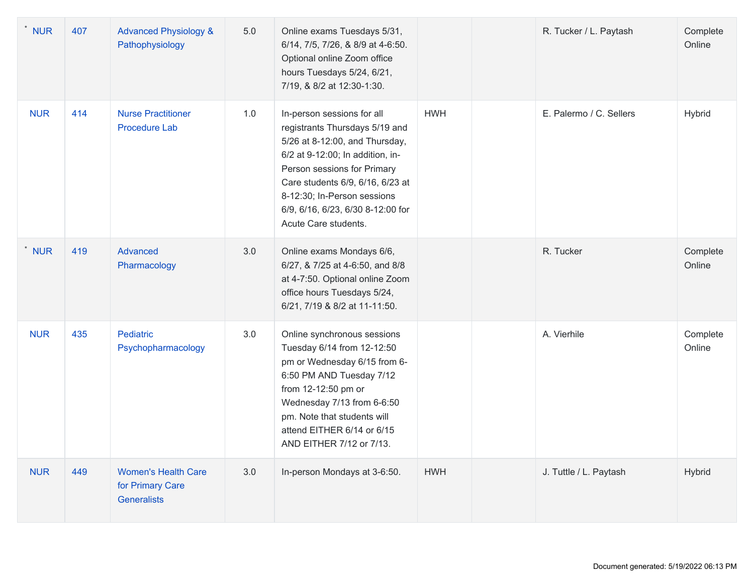| <b>NUR</b> | 407 | <b>Advanced Physiology &amp;</b><br>Pathophysiology           | 5.0 | Online exams Tuesdays 5/31,<br>6/14, 7/5, 7/26, & 8/9 at 4-6:50.<br>Optional online Zoom office<br>hours Tuesdays 5/24, 6/21,<br>7/19, & 8/2 at 12:30-1:30.                                                                                                                                       |            | R. Tucker / L. Paytash  | Complete<br>Online |
|------------|-----|---------------------------------------------------------------|-----|---------------------------------------------------------------------------------------------------------------------------------------------------------------------------------------------------------------------------------------------------------------------------------------------------|------------|-------------------------|--------------------|
| <b>NUR</b> | 414 | <b>Nurse Practitioner</b><br><b>Procedure Lab</b>             | 1.0 | In-person sessions for all<br>registrants Thursdays 5/19 and<br>5/26 at 8-12:00, and Thursday,<br>6/2 at 9-12:00; In addition, in-<br>Person sessions for Primary<br>Care students 6/9, 6/16, 6/23 at<br>8-12:30; In-Person sessions<br>6/9, 6/16, 6/23, 6/30 8-12:00 for<br>Acute Care students. | <b>HWH</b> | E. Palermo / C. Sellers | Hybrid             |
| <b>NUR</b> | 419 | Advanced<br>Pharmacology                                      | 3.0 | Online exams Mondays 6/6,<br>6/27, & 7/25 at 4-6:50, and 8/8<br>at 4-7:50. Optional online Zoom<br>office hours Tuesdays 5/24,<br>6/21, 7/19 & 8/2 at 11-11:50.                                                                                                                                   |            | R. Tucker               | Complete<br>Online |
| <b>NUR</b> | 435 | Pediatric<br>Psychopharmacology                               | 3.0 | Online synchronous sessions<br>Tuesday 6/14 from 12-12:50<br>pm or Wednesday 6/15 from 6-<br>6:50 PM AND Tuesday 7/12<br>from 12-12:50 pm or<br>Wednesday 7/13 from 6-6:50<br>pm. Note that students will<br>attend EITHER 6/14 or 6/15<br>AND EITHER 7/12 or 7/13.                               |            | A. Vierhile             | Complete<br>Online |
| <b>NUR</b> | 449 | <b>Women's Health Care</b><br>for Primary Care<br>Generalists | 3.0 | In-person Mondays at 3-6:50.                                                                                                                                                                                                                                                                      | <b>HWH</b> | J. Tuttle / L. Paytash  | Hybrid             |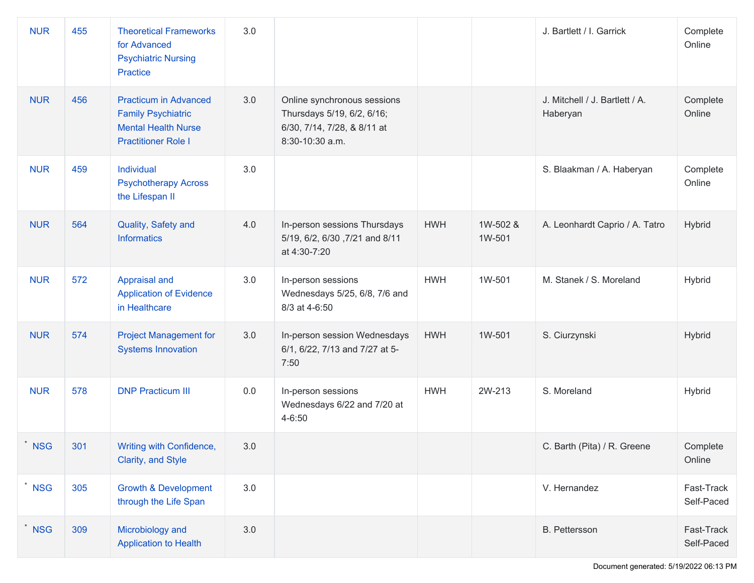| <b>NUR</b> | 455 | <b>Theoretical Frameworks</b><br>for Advanced<br><b>Psychiatric Nursing</b><br>Practice                               | 3.0 |                                                                                                             |            |                    | J. Bartlett / I. Garrick                   | Complete<br>Online       |
|------------|-----|-----------------------------------------------------------------------------------------------------------------------|-----|-------------------------------------------------------------------------------------------------------------|------------|--------------------|--------------------------------------------|--------------------------|
| <b>NUR</b> | 456 | <b>Practicum in Advanced</b><br><b>Family Psychiatric</b><br><b>Mental Health Nurse</b><br><b>Practitioner Role I</b> | 3.0 | Online synchronous sessions<br>Thursdays 5/19, 6/2, 6/16;<br>6/30, 7/14, 7/28, & 8/11 at<br>8:30-10:30 a.m. |            |                    | J. Mitchell / J. Bartlett / A.<br>Haberyan | Complete<br>Online       |
| <b>NUR</b> | 459 | Individual<br><b>Psychotherapy Across</b><br>the Lifespan II                                                          | 3.0 |                                                                                                             |            |                    | S. Blaakman / A. Haberyan                  | Complete<br>Online       |
| <b>NUR</b> | 564 | Quality, Safety and<br><b>Informatics</b>                                                                             | 4.0 | In-person sessions Thursdays<br>5/19, 6/2, 6/30, 7/21 and 8/11<br>at 4:30-7:20                              | <b>HWH</b> | 1W-502 &<br>1W-501 | A. Leonhardt Caprio / A. Tatro             | Hybrid                   |
| <b>NUR</b> | 572 | Appraisal and<br><b>Application of Evidence</b><br>in Healthcare                                                      | 3.0 | In-person sessions<br>Wednesdays 5/25, 6/8, 7/6 and<br>8/3 at 4-6:50                                        | <b>HWH</b> | 1W-501             | M. Stanek / S. Moreland                    | Hybrid                   |
| <b>NUR</b> | 574 | <b>Project Management for</b><br><b>Systems Innovation</b>                                                            | 3.0 | In-person session Wednesdays<br>6/1, 6/22, 7/13 and 7/27 at 5-<br>7:50                                      | <b>HWH</b> | 1W-501             | S. Ciurzynski                              | Hybrid                   |
| <b>NUR</b> | 578 | <b>DNP Practicum III</b>                                                                                              | 0.0 | In-person sessions<br>Wednesdays 6/22 and 7/20 at<br>4-6:50                                                 | <b>HWH</b> | 2W-213             | S. Moreland                                | Hybrid                   |
| * NSG      | 301 | Writing with Confidence,<br>Clarity, and Style                                                                        | 3.0 |                                                                                                             |            |                    | C. Barth (Pita) / R. Greene                | Complete<br>Online       |
| <b>NSG</b> | 305 | <b>Growth &amp; Development</b><br>through the Life Span                                                              | 3.0 |                                                                                                             |            |                    | V. Hernandez                               | Fast-Track<br>Self-Paced |
| <b>NSG</b> | 309 | Microbiology and<br><b>Application to Health</b>                                                                      | 3.0 |                                                                                                             |            |                    | <b>B.</b> Pettersson                       | Fast-Track<br>Self-Paced |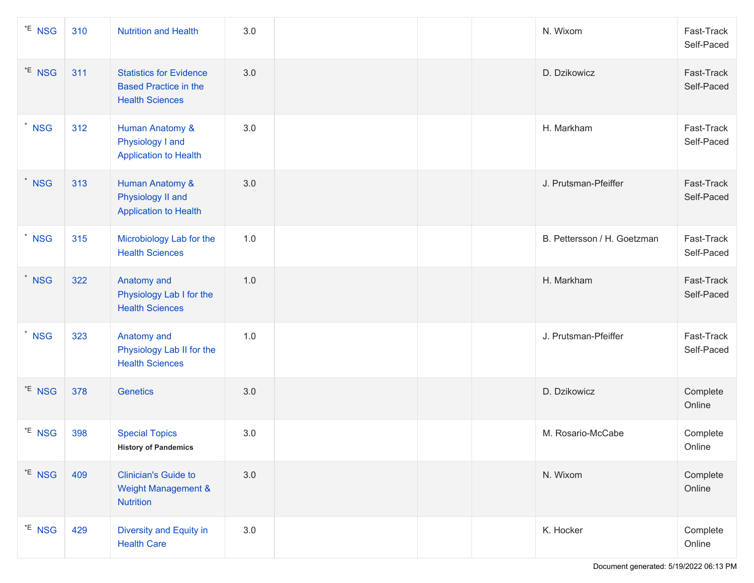| *E NSG                | 310 | <b>Nutrition and Health</b>                                                              | 3.0 |  | N. Wixom                    | Fast-Track<br>Self-Paced |
|-----------------------|-----|------------------------------------------------------------------------------------------|-----|--|-----------------------------|--------------------------|
| *E NSG                | 311 | <b>Statistics for Evidence</b><br><b>Based Practice in the</b><br><b>Health Sciences</b> | 3.0 |  | D. Dzikowicz                | Fast-Track<br>Self-Paced |
| $^*$ NSG              | 312 | Human Anatomy &<br>Physiology I and<br><b>Application to Health</b>                      | 3.0 |  | H. Markham                  | Fast-Track<br>Self-Paced |
| $*$ NSG               | 313 | <b>Human Anatomy &amp;</b><br>Physiology II and<br><b>Application to Health</b>          | 3.0 |  | J. Prutsman-Pfeiffer        | Fast-Track<br>Self-Paced |
| $\star$<br><b>NSG</b> | 315 | Microbiology Lab for the<br><b>Health Sciences</b>                                       | 1.0 |  | B. Pettersson / H. Goetzman | Fast-Track<br>Self-Paced |
| $*$ NSG               | 322 | Anatomy and<br>Physiology Lab I for the<br><b>Health Sciences</b>                        | 1.0 |  | H. Markham                  | Fast-Track<br>Self-Paced |
| * NSG                 | 323 | Anatomy and<br>Physiology Lab II for the<br><b>Health Sciences</b>                       | 1.0 |  | J. Prutsman-Pfeiffer        | Fast-Track<br>Self-Paced |
| *E NSG                | 378 | <b>Genetics</b>                                                                          | 3.0 |  | D. Dzikowicz                | Complete<br>Online       |
| *E NSG                | 398 | <b>Special Topics</b><br><b>History of Pandemics</b>                                     | 3.0 |  | M. Rosario-McCabe           | Complete<br>Online       |
| *E NSG                | 409 | <b>Clinician's Guide to</b><br><b>Weight Management &amp;</b><br><b>Nutrition</b>        | 3.0 |  | N. Wixom                    | Complete<br>Online       |
| *E NSG                | 429 | Diversity and Equity in<br><b>Health Care</b>                                            | 3.0 |  | K. Hocker                   | Complete<br>Online       |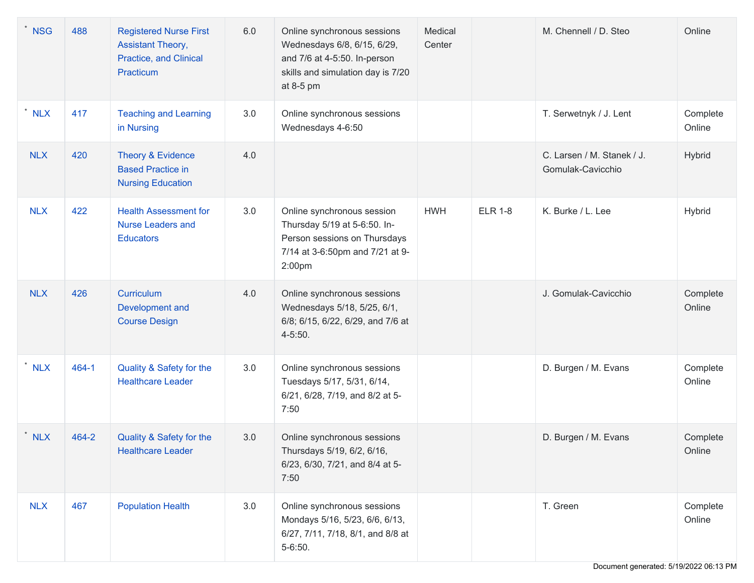| <b>NSG</b> | 488   | <b>Registered Nurse First</b><br><b>Assistant Theory,</b><br>Practice, and Clinical<br>Practicum | 6.0 | Online synchronous sessions<br>Wednesdays 6/8, 6/15, 6/29,<br>and 7/6 at 4-5:50. In-person<br>skills and simulation day is 7/20<br>at 8-5 pm | Medical<br>Center |                | M. Chennell / D. Steo                           | Online             |
|------------|-------|--------------------------------------------------------------------------------------------------|-----|----------------------------------------------------------------------------------------------------------------------------------------------|-------------------|----------------|-------------------------------------------------|--------------------|
| <b>NLX</b> | 417   | <b>Teaching and Learning</b><br>in Nursing                                                       | 3.0 | Online synchronous sessions<br>Wednesdays 4-6:50                                                                                             |                   |                | T. Serwetnyk / J. Lent                          | Complete<br>Online |
| <b>NLX</b> | 420   | Theory & Evidence<br><b>Based Practice in</b><br><b>Nursing Education</b>                        | 4.0 |                                                                                                                                              |                   |                | C. Larsen / M. Stanek / J.<br>Gomulak-Cavicchio | Hybrid             |
| <b>NLX</b> | 422   | <b>Health Assessment for</b><br><b>Nurse Leaders and</b><br><b>Educators</b>                     | 3.0 | Online synchronous session<br>Thursday 5/19 at 5-6:50. In-<br>Person sessions on Thursdays<br>7/14 at 3-6:50pm and 7/21 at 9-<br>2:00pm      | <b>HWH</b>        | <b>ELR 1-8</b> | K. Burke / L. Lee                               | Hybrid             |
| <b>NLX</b> | 426   | Curriculum<br>Development and<br><b>Course Design</b>                                            | 4.0 | Online synchronous sessions<br>Wednesdays 5/18, 5/25, 6/1,<br>6/8; 6/15, 6/22, 6/29, and 7/6 at<br>4-5:50.                                   |                   |                | J. Gomulak-Cavicchio                            | Complete<br>Online |
| <b>NLX</b> | 464-1 | Quality & Safety for the<br><b>Healthcare Leader</b>                                             | 3.0 | Online synchronous sessions<br>Tuesdays 5/17, 5/31, 6/14,<br>6/21, 6/28, 7/19, and 8/2 at 5-<br>7:50                                         |                   |                | D. Burgen / M. Evans                            | Complete<br>Online |
| <b>NLX</b> | 464-2 | Quality & Safety for the<br><b>Healthcare Leader</b>                                             | 3.0 | Online synchronous sessions<br>Thursdays 5/19, 6/2, 6/16,<br>6/23, 6/30, 7/21, and 8/4 at 5-<br>7:50                                         |                   |                | D. Burgen / M. Evans                            | Complete<br>Online |
| <b>NLX</b> | 467   | <b>Population Health</b>                                                                         | 3.0 | Online synchronous sessions<br>Mondays 5/16, 5/23, 6/6, 6/13,<br>6/27, 7/11, 7/18, 8/1, and 8/8 at<br>$5 - 6:50.$                            |                   |                | T. Green                                        | Complete<br>Online |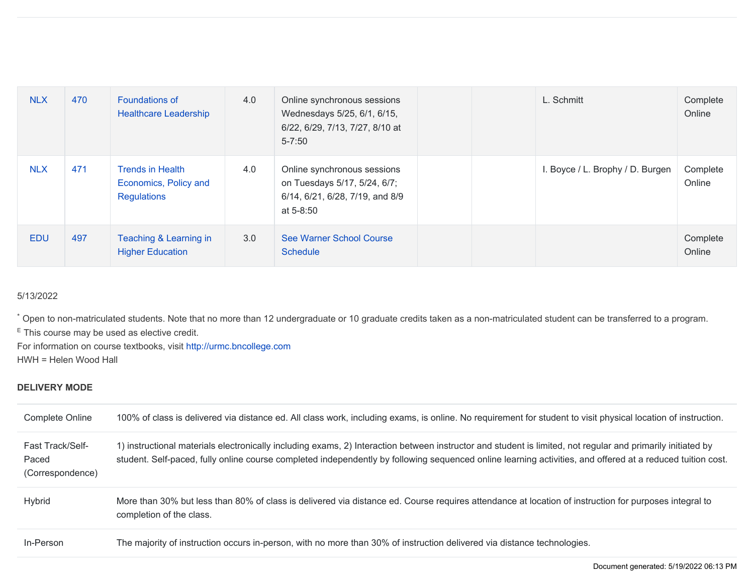| <b>NLX</b> | 470 | <b>Foundations of</b><br><b>Healthcare Leadership</b>           | 4.0 | Online synchronous sessions<br>Wednesdays 5/25, 6/1, 6/15,<br>6/22, 6/29, 7/13, 7/27, 8/10 at<br>$5 - 7:50$ | L. Schmitt                       | Complete<br>Online |
|------------|-----|-----------------------------------------------------------------|-----|-------------------------------------------------------------------------------------------------------------|----------------------------------|--------------------|
| <b>NLX</b> | 471 | Trends in Health<br>Economics, Policy and<br><b>Regulations</b> | 4.0 | Online synchronous sessions<br>on Tuesdays 5/17, 5/24, 6/7;<br>6/14, 6/21, 6/28, 7/19, and 8/9<br>at 5-8:50 | I. Boyce / L. Brophy / D. Burgen | Complete<br>Online |
| <b>EDU</b> | 497 | Teaching & Learning in<br><b>Higher Education</b>               | 3.0 | See Warner School Course<br><b>Schedule</b>                                                                 |                                  | Complete<br>Online |

## 5/13/2022

\* Open to non-matriculated students. Note that no more than 12 undergraduate or 10 graduate credits taken as a non-matriculated student can be transferred to a program. <sup>E</sup> This course may be used as elective credit.

For information on course textbooks, visit <http://urmc.bncollege.com> HWH = Helen Wood Hall

## **DELIVERY MODE**

| Complete Online                                      | 100% of class is delivered via distance ed. All class work, including exams, is online. No requirement for student to visit physical location of instruction.                                                                                                                                                             |
|------------------------------------------------------|---------------------------------------------------------------------------------------------------------------------------------------------------------------------------------------------------------------------------------------------------------------------------------------------------------------------------|
| <b>Fast Track/Self-</b><br>Paced<br>(Correspondence) | 1) instructional materials electronically including exams, 2) Interaction between instructor and student is limited, not regular and primarily initiated by<br>student. Self-paced, fully online course completed independently by following sequenced online learning activities, and offered at a reduced tuition cost. |
| <b>Hybrid</b>                                        | More than 30% but less than 80% of class is delivered via distance ed. Course requires attendance at location of instruction for purposes integral to<br>completion of the class.                                                                                                                                         |
| In-Person                                            | The majority of instruction occurs in-person, with no more than 30% of instruction delivered via distance technologies.                                                                                                                                                                                                   |